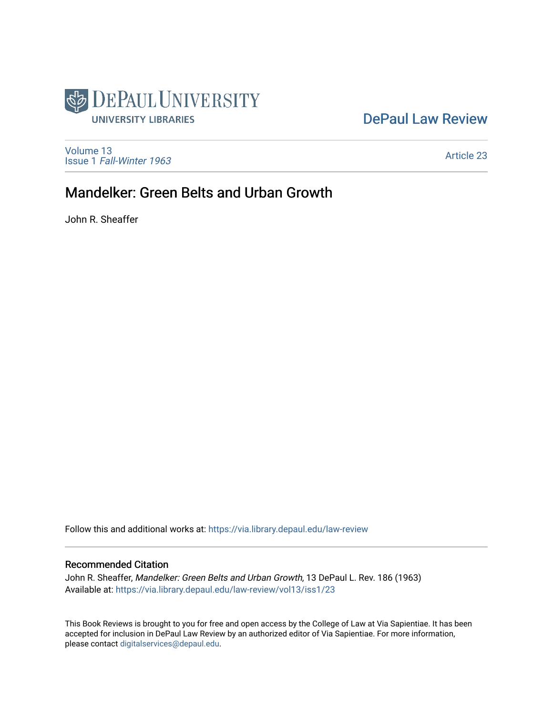

## [DePaul Law Review](https://via.library.depaul.edu/law-review)

[Volume 13](https://via.library.depaul.edu/law-review/vol13) Issue 1 [Fall-Winter 1963](https://via.library.depaul.edu/law-review/vol13/iss1)

[Article 23](https://via.library.depaul.edu/law-review/vol13/iss1/23) 

## Mandelker: Green Belts and Urban Growth

John R. Sheaffer

Follow this and additional works at: [https://via.library.depaul.edu/law-review](https://via.library.depaul.edu/law-review?utm_source=via.library.depaul.edu%2Flaw-review%2Fvol13%2Fiss1%2F23&utm_medium=PDF&utm_campaign=PDFCoverPages) 

## Recommended Citation

John R. Sheaffer, Mandelker: Green Belts and Urban Growth, 13 DePaul L. Rev. 186 (1963) Available at: [https://via.library.depaul.edu/law-review/vol13/iss1/23](https://via.library.depaul.edu/law-review/vol13/iss1/23?utm_source=via.library.depaul.edu%2Flaw-review%2Fvol13%2Fiss1%2F23&utm_medium=PDF&utm_campaign=PDFCoverPages)

This Book Reviews is brought to you for free and open access by the College of Law at Via Sapientiae. It has been accepted for inclusion in DePaul Law Review by an authorized editor of Via Sapientiae. For more information, please contact [digitalservices@depaul.edu.](mailto:digitalservices@depaul.edu)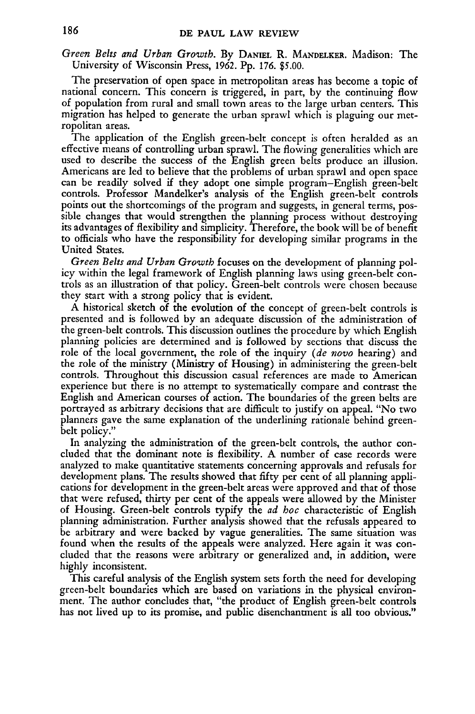*Green Belts and Urban Growth.* **By DANIEL** R. **MANDELKER.** Madison: The University of Wisconsin Press, **1962. Pp.** 176. \$5.00.

The preservation of open space in metropolitan areas has become a topic of national concern. This concern is triggered, in part, **by** the continuing flow of population from rural and small town areas to the large urban centers. This migration has helped to generate the urban sprawl which is plaguing our metropolitan areas.

The application of the English green-belt concept is often heralded as an effective means of controlling urban sprawl. The flowing generalities which are used to describe the success of the English green belts produce an illusion. Americans are led to believe that the problems of urban sprawl and open space can be readily solved if they adopt one simple program-English green-belt controls. Professor Mandelker's analysis of the English green-belt controls points out the shortcomings of the program and suggests, in general terms, possible changes that would strengthen the planning process without destroying its advantages of flexibility and simplicity. Therefore, the book will be of benefit to officials who have the responsibility for developing similar programs in the United States.

*Green Belts and Urban Growth* focuses on the development of planning pol- icy within the legal framework of English planning laws using green-belt controls as an illustration of that policy. Green-belt controls were chosen because they start with a strong policy that is evident.

A historical sketch of the evolution of the concept of green-belt controls is presented and is followed by an adequate discussion of the administration of the green-belt controls. This discussion outlines the procedure by which English planning policies are determined and is followed by sections that discuss the role of the local government, the role of the inquiry *(de novo* hearing) and the role of the ministry (Ministry of Housing) in administering the green-belt controls. Throughout this discussion casual references are made to American experience but there is no attempt to systematically compare and contrast the English and American courses of action. The boundaries of the green belts are portrayed as arbitrary decisions that are difficult to justify on appeal. "No two planners gave the same explanation of the underlining rationale behind greenbelt policy."

In analyzing the administration of the green-belt controls, the author concluded that the dominant note is flexibility. A number of case records were analyzed to make quantitative statements concerning approvals and refusals for development plans. The results showed that fifty per cent of all planning applications for development in the green-belt areas were approved and that of those that were refused, thirty per cent of the appeals were allowed by the Minister of Housing. Green-belt controls typify the *ad hoc* characteristic of English planning administration. Further analysis showed that the refusals appeared to be arbitrary and were backed by vague generalities. The same situation was found when the results of the appeals were analyzed. Here again it was concluded that the reasons were arbitrary or generalized and, in addition, were highly inconsistent.

This careful analysis of the English system sets forth the need for developing green-belt boundaries which are based on variations in the physical environment. The author concludes that, "the product of English green-belt controls has not lived up to its promise, and public disenchantment is all too obvious."